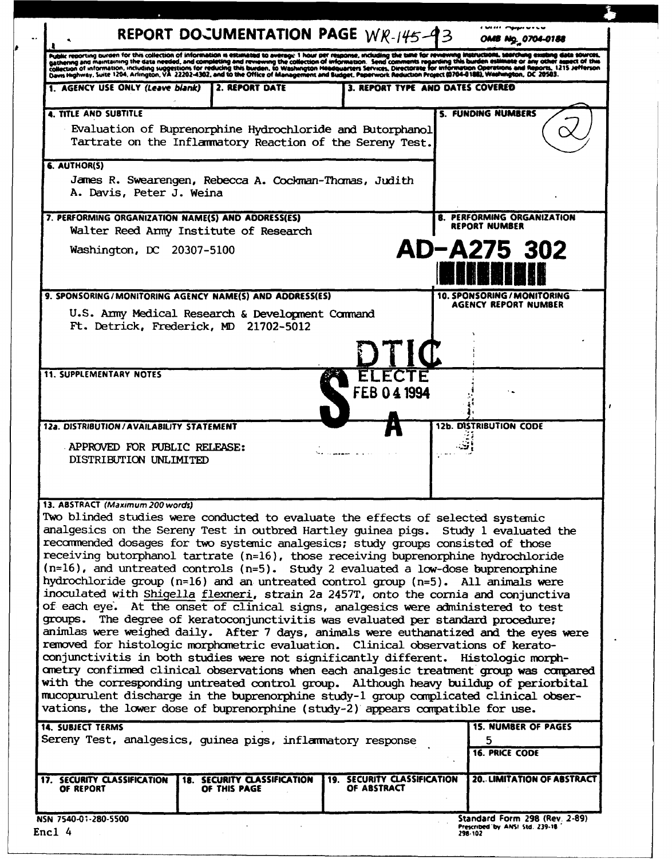|                                                                                                                                                                                                                                   |  |                | REPORT DOCUMENTATION PAGE WR-145-93 | OMB Ng. 0704-0188                                                                                                                                                                                                                                                                                                                                                                                                                                                                                                                                                                                                                                                                                                                                                                                                                                                                                                                                                                                                                                                                                                                                                                                                                                                                                                                                                                                                                                                  |  |
|-----------------------------------------------------------------------------------------------------------------------------------------------------------------------------------------------------------------------------------|--|----------------|-------------------------------------|--------------------------------------------------------------------------------------------------------------------------------------------------------------------------------------------------------------------------------------------------------------------------------------------------------------------------------------------------------------------------------------------------------------------------------------------------------------------------------------------------------------------------------------------------------------------------------------------------------------------------------------------------------------------------------------------------------------------------------------------------------------------------------------------------------------------------------------------------------------------------------------------------------------------------------------------------------------------------------------------------------------------------------------------------------------------------------------------------------------------------------------------------------------------------------------------------------------------------------------------------------------------------------------------------------------------------------------------------------------------------------------------------------------------------------------------------------------------|--|
| Public recorting burden for this collection of information is estimated to average 1 hour per response, including the time for reviewing instructions, searching existing data sources,<br>cathering and maintaining the data nee |  |                |                                     |                                                                                                                                                                                                                                                                                                                                                                                                                                                                                                                                                                                                                                                                                                                                                                                                                                                                                                                                                                                                                                                                                                                                                                                                                                                                                                                                                                                                                                                                    |  |
| 1. AGENCY USE ONLY (Leave blank)                                                                                                                                                                                                  |  | 2. REPORT DATE |                                     | 3. REPORT TYPE AND DATES COVERED                                                                                                                                                                                                                                                                                                                                                                                                                                                                                                                                                                                                                                                                                                                                                                                                                                                                                                                                                                                                                                                                                                                                                                                                                                                                                                                                                                                                                                   |  |
| <b>4. TITLE AND SUBTITLE</b><br>Evaluation of Buprenorphine Hydrochloride and Butorphanol<br>Tartrate on the Inflammatory Reaction of the Sereny Test.                                                                            |  |                |                                     | <b>S. FUNDING NUMBERS</b>                                                                                                                                                                                                                                                                                                                                                                                                                                                                                                                                                                                                                                                                                                                                                                                                                                                                                                                                                                                                                                                                                                                                                                                                                                                                                                                                                                                                                                          |  |
| <b>6. AUTHOR(S)</b><br>James R. Swearengen, Rebecca A. Cockman-Thomas, Judith<br>A. Davis, Peter J. Weina                                                                                                                         |  |                |                                     |                                                                                                                                                                                                                                                                                                                                                                                                                                                                                                                                                                                                                                                                                                                                                                                                                                                                                                                                                                                                                                                                                                                                                                                                                                                                                                                                                                                                                                                                    |  |
| 7. PERFORMING ORGANIZATION NAME(S) AND ADDRESS(ES)<br>Walter Reed Army Institute of Research                                                                                                                                      |  |                |                                     | <b>B. PERFORMING ORGANIZATION</b><br><b>REPORT NUMBER</b>                                                                                                                                                                                                                                                                                                                                                                                                                                                                                                                                                                                                                                                                                                                                                                                                                                                                                                                                                                                                                                                                                                                                                                                                                                                                                                                                                                                                          |  |
| Washington, DC 20307-5100                                                                                                                                                                                                         |  |                |                                     | AD-A275 302                                                                                                                                                                                                                                                                                                                                                                                                                                                                                                                                                                                                                                                                                                                                                                                                                                                                                                                                                                                                                                                                                                                                                                                                                                                                                                                                                                                                                                                        |  |
| 9. SPONSORING/MONITORING AGENCY NAME(S) AND ADDRESS(ES)                                                                                                                                                                           |  |                |                                     | <b>10. SPONSORING / MONITORING</b>                                                                                                                                                                                                                                                                                                                                                                                                                                                                                                                                                                                                                                                                                                                                                                                                                                                                                                                                                                                                                                                                                                                                                                                                                                                                                                                                                                                                                                 |  |
| U.S. Army Medical Research & Development Command<br>Ft. Detrick, Frederick, MD 21702-5012                                                                                                                                         |  |                |                                     | <b>AGENCY REPORT NUMBER</b>                                                                                                                                                                                                                                                                                                                                                                                                                                                                                                                                                                                                                                                                                                                                                                                                                                                                                                                                                                                                                                                                                                                                                                                                                                                                                                                                                                                                                                        |  |
| <b>11. SUPPLEMENTARY NOTES</b><br>12a. DISTRIBUTION / AVAILABILITY STATEMENT                                                                                                                                                      |  |                | FEB 04 1994                         | <b>12b. DISTRIBUTION CODE</b>                                                                                                                                                                                                                                                                                                                                                                                                                                                                                                                                                                                                                                                                                                                                                                                                                                                                                                                                                                                                                                                                                                                                                                                                                                                                                                                                                                                                                                      |  |
| APPROVED FOR PUBLIC RELEASE:<br>DISTRIBUTION UNLIMITED                                                                                                                                                                            |  |                |                                     |                                                                                                                                                                                                                                                                                                                                                                                                                                                                                                                                                                                                                                                                                                                                                                                                                                                                                                                                                                                                                                                                                                                                                                                                                                                                                                                                                                                                                                                                    |  |
| 13. ABSTRACT (Maximum 200 words)                                                                                                                                                                                                  |  |                |                                     | Two blinded studies were conducted to evaluate the effects of selected systemic<br>analgesics on the Sereny Test in outbred Hartley guinea pigs. Study 1 evaluated the<br>recommended dosages for two systemic analgesics; study groups consisted of those<br>receiving butorphanol tartrate $(n=16)$ , those receiving buprenorphine hydrochloride<br>$(n=16)$ , and untreated controls $(n=5)$ . Study 2 evaluated a low-dose buprenorphine<br>hydrochloride group (n=16) and an untreated control group (n=5). All animals were<br>inoculated with Shigella flexneri, strain 2a 2457T, onto the cornia and conjunctiva<br>of each eye. At the onset of clinical signs, analgesics were administered to test<br>groups. The degree of keratoconjunctivitis was evaluated per standard procedure;<br>animlas were weighed daily. After 7 days, animals were euthanatized and the eyes were<br>removed for histologic morphometric evaluation. Clinical observations of kerato-<br>conjunctivitis in both studies were not significantly different. Histologic morph-<br>ometry confirmed clinical observations when each analgesic treatment group was compared<br>with the corresponding untreated control group. Although heavy buildup of periorbital<br>mucopurulent discharge in the buprenorphine study-1 group complicated clinical obser-<br>vations, the lower dose of buprenorphine (study-2) appears compatible for use.<br><b>15. NUMBER OF PAGES</b> |  |
| <b>14. SUBJECT TERMS</b><br>Sereny Test, analgesics, guinea pigs, inflammatory response                                                                                                                                           |  |                |                                     | 5<br><b>16. PRICE CODE</b>                                                                                                                                                                                                                                                                                                                                                                                                                                                                                                                                                                                                                                                                                                                                                                                                                                                                                                                                                                                                                                                                                                                                                                                                                                                                                                                                                                                                                                         |  |
|                                                                                                                                                                                                                                   |  |                |                                     |                                                                                                                                                                                                                                                                                                                                                                                                                                                                                                                                                                                                                                                                                                                                                                                                                                                                                                                                                                                                                                                                                                                                                                                                                                                                                                                                                                                                                                                                    |  |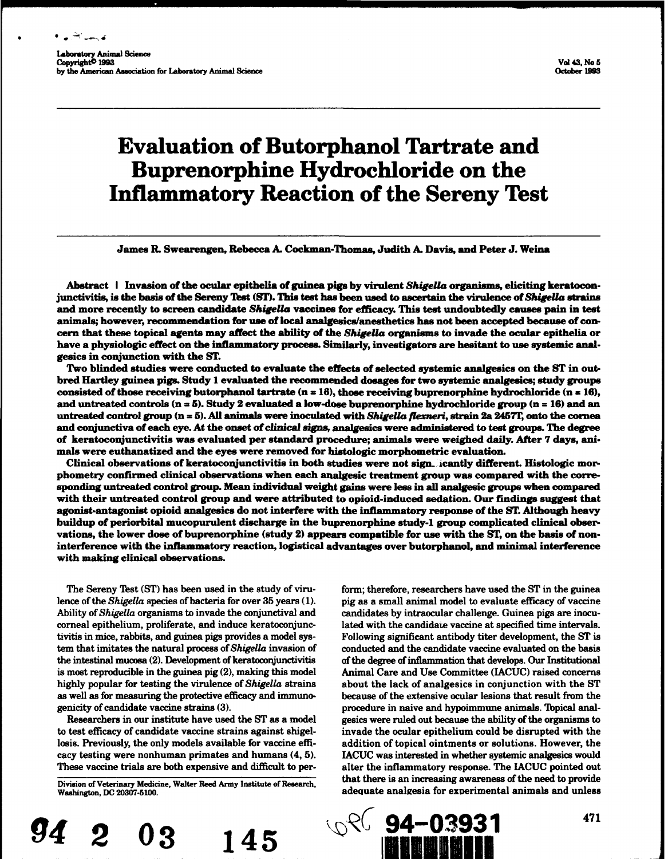فأبسد سيشمط

# Evaluation of Butorphanol Tartrate and Buprenorphine Hydrochloride on the Inflammatory Reaction of the Sereny Test

James R. Swearengen, Rebecca A. Cockman-Thomas, Judith A. Davis, and Peter J. Weina

Abstract I Invasion of the ocular epithelia of guinea pigs by virulent *ShigeUa* organisms, eliciting keratocon. junctivitis, is the basis of the Sereny Test (SI). This test has been used to ascertain the virulence of *ShigeUra* strains and more recently to screen candidate Shigella vaccines for efficacy. This test undoubtedly causes pain in test animals; however, recommendation for use of local analgesics/anesthetics has not been accepted because of concern that these topical agents may affect the ability of the *ShigeUa* organisms to invade the ocular epithelia or have a physiologic effect on the inflammatory process. Similarly, investigators are hesitant to use systemic analgesics in conjunction with the ST.

Two blinded studies were conducted to evaluate the effects of selected systemic analgesics on the ST in outbred Hartley guinea pigs. Study 1 evaluated the recommended dosages for two systemic analgesics; study groups consisted of those receiving butorphanol tartrate (n = 16), those receiving buprenorphine hydrochloride (n **=** 16), and untreated controls (n **a** 5). Study 2 evaluated a low-dose buprenorphine hydrochloride group (n = 16) and an untreated control group (n = 5). All animals were inoculated with Shigella flexneri, strain 2a 2457T, onto the cornea and conjunctiva of each eye. At the onset of clinical signs, analgesics were administered to test groups. The degree of keratoconjunctivitis was evaluated per standard procedure; animals were weighed daily. After 7 days, animals were euthanatized and the eyes were removed for histologic morphometric evaluation.

Clinical observations of keratoconjunctivitis in both studies were not sign-. icantly different. Histologic morphometry confirmed clinical observations when each analgesic treatment group was compared with the corresponding untreated control group. Mean individual weight gains were less in all analgesic groups when compared with their untreated control group and were attributed to opioid-induced sedation. Our findings suggest that agonist-antagonist opioid analgesics do not interfere with the inflammatory response of the ST. Although heavy buildup of periorbital mucopurulent discharge in the buprenorphine study-i group complicated clinical observations, the lower dose of buprenorphine (study 2) appears compatible for use with the ST, on the basis of noninterference with the inflammatory reaction, logistical advantages over butorphanol, and minimal interference with making clinical observations.

The Sereny Test (ST) has been used in the study of viru- form; therefore, researchers have used the ST in the guinea

lence of the *Shigella* species of bacteria for over 35 years (1). pig as a small animal model to evaluate efficacy of vaccine Ability of Shigella organisms to invade the conjunctival and candidates by intraocular challenge. Guinea pigs are inocucorneal epithelium, proliferate, and induce keratoconjunc- lated with the candidate vaccine at specified time intervals. tivitis in mice, rabbits, and guinea pigs provides a model sys- Following significant antibody titer development, the ST is tem that imitates the natural process of Shigella invasion of conducted and the candidate vaccine evaluated on the basis the intestinal mucosa (2). Development of keratoconjunctivitis of the degree of inflammation that develops. Our Institutional is most reproducible in the guinea pig (2), making this model Animal Care and Use Committee (IACUC) raised concerns highly popular for testing the virulence of *Shigella* strains about the lack of analgesics in conjunction with the ST as well as for measuring the protective efficacy and immuno- because of the extensive ocular lesions that result from the genicity of candidate vaccine strains (3). <br> procedure in naive and hypoimmune animals. Topical anal-Researchers in our institute have used the ST as a model gesics were ruled out because the ability of the organisms to to test efficacy of candidate vaccine strains against shigel- invade the ocular epithelium could be disrupted with the losis. Previously, the only models available for vaccine effi- addition of topical ointments or solutions. However, the cacy testing were nonhuman primates and humans (4, 5). IACUC was interested in whether systemic analgesics would These vaccine trials are both expensive and difficult to per- alter the inflammatory response. The IACUC pointed out Division of Veterinary Medicine, Walter Reed Army Institute of Research, that there is an increasing awareness of the need to provide Washington, DC 20307-5100. adequate analmesia for exverimental animals and unless



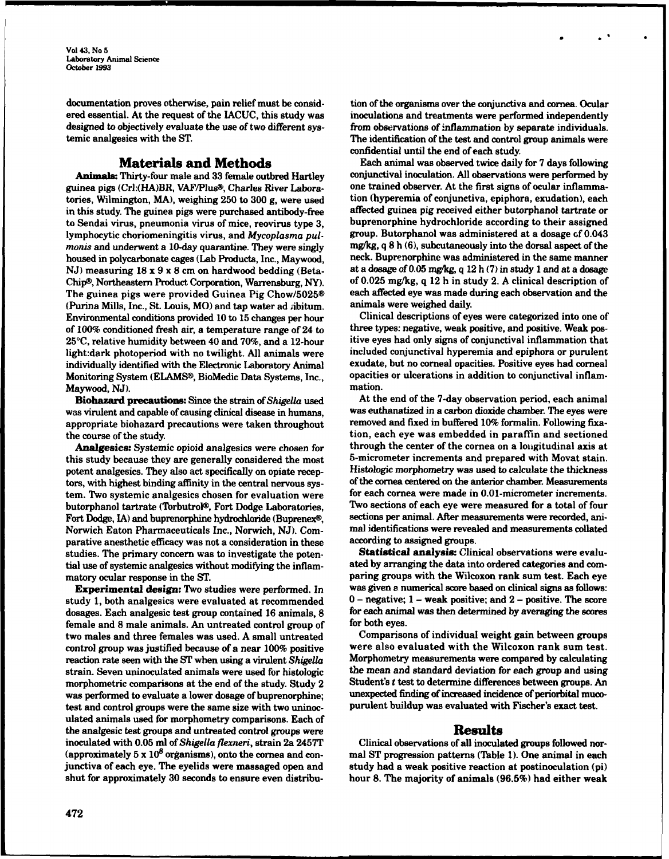Vol 43, No 5 Laboratory Animal Science October 1993

documentation proves otherwise, pain relief must be consid- tion of the organisms over the conjunctiva and cornea. Ocular ered essential. At the request of the IACUC, this study was inoculations and treatments were performed independently designed to objectively evaluate the use of two different sys- from observations of inflammation by separate individuals.

guinea pigs (Crl:(HA)BR, VAF/Plus®, Charles River Laboratories, Wilmington, MA), weighing 250 to 300 g, were used tion (hyperemia of conjunctiva, epiphora, exudation), each in this study. The guinea pigs were purchased antibody-free affected guinea pig received either butorphanol tartrate or to Sendai virus, pneumonia virus of mice, reovirus type 3, buprenorphine hydrochloride according to their assigned lymphocytic choriomeningitis virus, and Mycoplasma pul- group. Butorphanol was administered at a dosage of 0.043 *monis* and underwent a 10-day quarantine. They were singly mg/kg, q 8 h (6), subcutaneously into the dorsal aspect of the housed in polycarbonate cages (Lab Products, Inc., Maywood, neck. Buprenorphine was administered in the same manner NJ) measuring  $18 \times 9 \times 8$  cm on hardwood bedding (Beta- at a dosage of 0.05 mg/kg, q 12 h (7) in study 1 and at a dosage Chip®, Northeastern Product Corporation, Warrensburg, NY). of 0.025 mg/kg, q 12 h in study 2. A clinical description of The guinea pigs were provided Guinea Pig Chow/5025® each affected eye was made during each observation and the<br>(Purina Mills, Inc., St. Louis, MO) and tap water ad *i*ibitum. animals were weighed daily. (Purina Mills, Inc., St. Louis, MO) and tap water ad *i*ibitum. Environmental conditions provided 10 to 15 changes per hour Clinical descriptions of eyes were categorized into one of of  $100\%$  conditioned fresh air, a temperature range of 24 to three types: negative, weak positive, and positive. Weak pos-25°C, relative humidity between 40 and 70%, and a 12-hour itive eyes had only signs of conjunctival inflammation that light:dark photoperiod with no twilight. All animals were included conjunctival hyperemia and epiphora or purulent individually identified with the Electronic Laboratory Animal exudate, but no corneal opacities. Positive eyes had corneal Monitoring System (ELAMS®, BioMedic Data Systems, Inc., opacities or ulcerations in addition to conjunctival inflam-Maywood, NJ). mation.

was virulent and capable of causing clinical disease in humans, was euthanatized in a carbon dioxide chamber. The eyes were appropriate biohazard precautions were taken throughout removed and fixed in buffered 10% formalin. Following fixathe course of the study. tion, each eye was embedded in paraffin and sectioned

this study because they are generally considered the most 5-micrometer increments and prepared with Movat stain. potent analgesics. They also act specifically on opiate recep- Histologic morphometry was used to calculate the thickness tors, with highest binding affinity in the central nervous sys- of the cornea centered on the anterior chamber. Measurements tem. Two systemic analgesics chosen for evaluation were for each cornea were made in 0.01-micrometer increments. butorphanol tartrate (Torbutrol®, Fort Dodge Laboratories, Two sections of each eye were measured for a total of four Fort Dodge, IA) and buprenorphine hydrochloride (Buprenex®, sections per animal. After measurements were recorded, ani-Norwich Eaton Pharmaceuticals Inc., Norwich, NJ). Com- mal identifications were revealed and measurements collated parative anesthetic efficacy was not a consideration in these according to assigned groups. studies. The primary concern was to investigate the poten-**Statistical analysis:** Clinical observations were evalutial use of systemic analgesics without modifying the inflam- ated by arranging the data into ordered categories and commatory ocular response in the ST. **paring groups with the Wilcoxon rank sum test**. Each eye

study 1, both analgesics were evaluated at recommended  $0 -$  negative; 1 - weak positive; and 2 - positive. The score dosages. Each analgesic test group contained 16 animals, 8 for each animal was then determined by averaging the scores female and 8 male animals. An untreated control group of for both eyes. two males and three females was used. A small untreated Comparisons of individual weight gain between groups control group was justified because of a near 100% positive were also evaluated with the Wilcoxon rank sum test. reaction rate seen with the ST when using a virulent *ShigeUa* Morphometry measurements were compared by calculating strain. Seven uninoculated animals were used for histologic the mean and standard deviation for each group and using morphometric comparisons at the end of the study. Study  $2$  Student's t test to determine differences between groups. An was performed to evaluate a lower dosage of buprenorphine; unexpected finding of increased incidence of periorbital mucotest and control groups were the same size with two uninoc- purulent buildup was evaluated with Fischer's exact test. ulated animals used for morphometry comparisons. Each of the analgesic test groups and untreated control groups were<br>inoculated with 0.05 ml of *Shigella flexneri*, strain 2a 2457T Clinical observations of all inocula (approximately 5 x **108** organisms), onto the cornea and con- mal ST progression patterns (Table 1). One animal in each junctiva of each eye. The eyelids were massaged open and study had a weak positive reaction at postinoculation (pi) shut for approximately 30 seconds to ensure even distribu- hour 8. The majority of animals (96.5%) had either weak

temic analgesics with the ST. The identification of the test and control group animals were confidential until the end of each study.

**Materials and Methods** Each animal was observed twice daily for 7 days following<br>Thirty-four male and 33 female outbred Hartley conjunctival inoculation. All observations were performed by **Animals:** Thirty-four male and 33 female outbred Hartley conjunctival inoculation. All observations were performed by<br>inea pigs (Crl:(HA)BR, VAF/Plus®, Charles River Labora- one trained observer. At the first signs of ocu

Biohazard precautions: Since the strain of *Shigella* used At the end of the 7-day observation period, each animal Analgesics: Systemic opioid analgesics were chosen for through the center of the cornea on a longitudinal axis at

Experimental design: Two studies were performed. In was given a numerical score based on clinical signs as follows:

Clinical observations of all inoculated groups followed nor-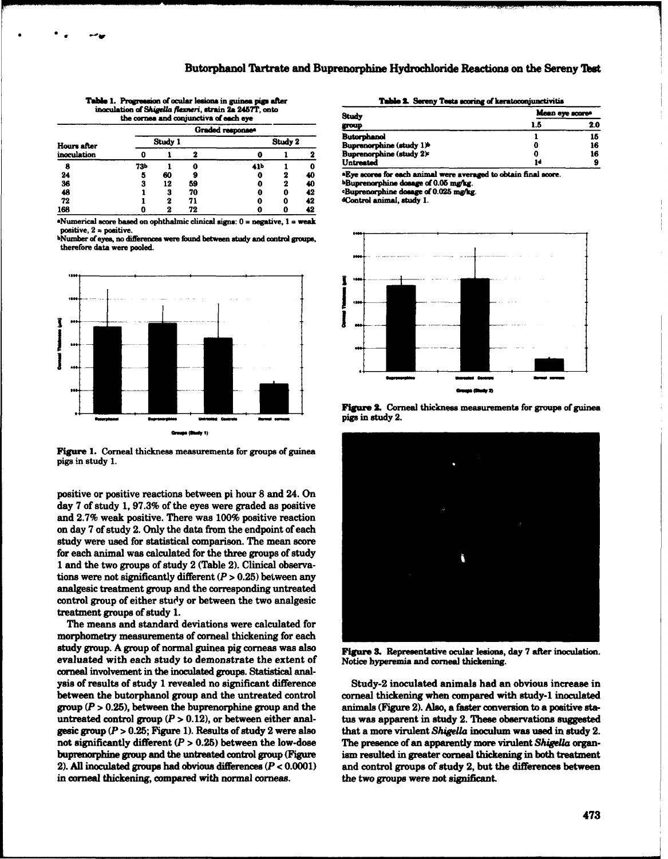| <b>Table 1. Progression of ocular lesions in guinea pigs after</b> |  |  |
|--------------------------------------------------------------------|--|--|
| inoculation of Shigella flexneri, strain 2a 2457T, onto            |  |  |
| the cornea and conjunctiva of each eye                             |  |  |

| <b>Hours after</b><br>inoculation |         |    |    | Graded responses |         |    |
|-----------------------------------|---------|----|----|------------------|---------|----|
|                                   | Study 1 |    |    |                  | Study 2 |    |
|                                   | 0       |    |    |                  |         | 2  |
| 8                                 | 73Ь     |    | o  | 41b              |         | o  |
| 24                                | 5       | 60 | 9  | 0                | 2       | 40 |
| $\overline{36}$                   | 3       | 12 | 59 | 0                | 2       | 40 |
| 48                                |         | 3  | 70 | 0                | 0       | 42 |
| 72                                |         | 2  | 71 | 0                | 0       | 42 |
| 168                               |         | 2  | 72 | c                | O       | 42 |

**Alumerical score based on ophthalmic clinical signs:**  $0 =$  **negative,**  $1 =$  **weak**  $positive, 2 = positive.$ 

Number of eyes, no differences were found between study and control groups, therefore data were pooled.



Figure 1. Corneal thickness measurements for groups of guinea pigs in study 1.

positive or positive reactions between pi hour 8 and 24. On day 7 of study 1, 97.3% of the eyes were graded as positive and 2.7% weak positive. There was 100% positive reaction on day 7 of study 2. Only the data from the endpoint of each study were used for statistical comparison. The mean score for each animal was calculated for the three groups of study 1 and the two groups of study 2 (Table 2). Clinical observations were not significantly different  $(P > 0.25)$  between any analgesic treatment group and the corresponding untreated control group of either study or between the two analgesic treatment groups of study 1.

The means and standard deviations were calculated for morphometry measurements of corneal thickening for each study group. A group of normal guinea pig corneas was also evaluated with each study to demonstrate the extent of corneal involvement in the inoculated groups. Statistical analysis of results of study 1 revealed no significant difference between the butorphanol group and the untreated control group ( $P > 0.25$ ), between the buprenorphine group and the untreated control group ( $P > 0.12$ ), or between either analgesic group ( $P > 0.25$ ; Figure 1). Results of study 2 were also not significantly different  $(P > 0.25)$  between the low-dose buprenorphine group and the untreated control group (Figure 2). All inoculated groups had obvious differences  $(P < 0.0001)$ in corneal thickening, compared with normal corneas.

|  |  |  | Table 2. Sereny Tests scoring of keratoconjunctivitis |
|--|--|--|-------------------------------------------------------|
|--|--|--|-------------------------------------------------------|

| Study                                | Mean eye scores |     |  |
|--------------------------------------|-----------------|-----|--|
| group                                | 1.5             | 2.0 |  |
| Butorphanol                          |                 | 15  |  |
| Buprenorphine (study 1) <sup>b</sup> | O<br>O          | 16  |  |
| <b>Buprenorphine (study 2):</b>      |                 | 16  |  |
| Untreated                            | 1d              |     |  |
|                                      | . .             |     |  |

**Eve scores for each animal were averaged to obtain final score** bBuprenorphine dosage of 0.05 mg/kg.

Buprenorphine dosage of 0.025 mg/kg.

dControl animal, study 1.







Figure 3. Representative ocular lesions, day 7 after inoculation. Notice hyperemia and corneal thickening.

Study-2 inoculated animals had an obvious increase in corneal thickening when compared with study-1 inoculated animals (Figure 2). Also, a faster conversion to a positive status was apparent in study 2. These observations suggested that a more virulent Shigella inoculum was used in study 2. The presence of an apparently more virulent Shigella organism resulted in greater corneal thickening in both treatment and control groups of study 2, but the differences between the two groups were not significant.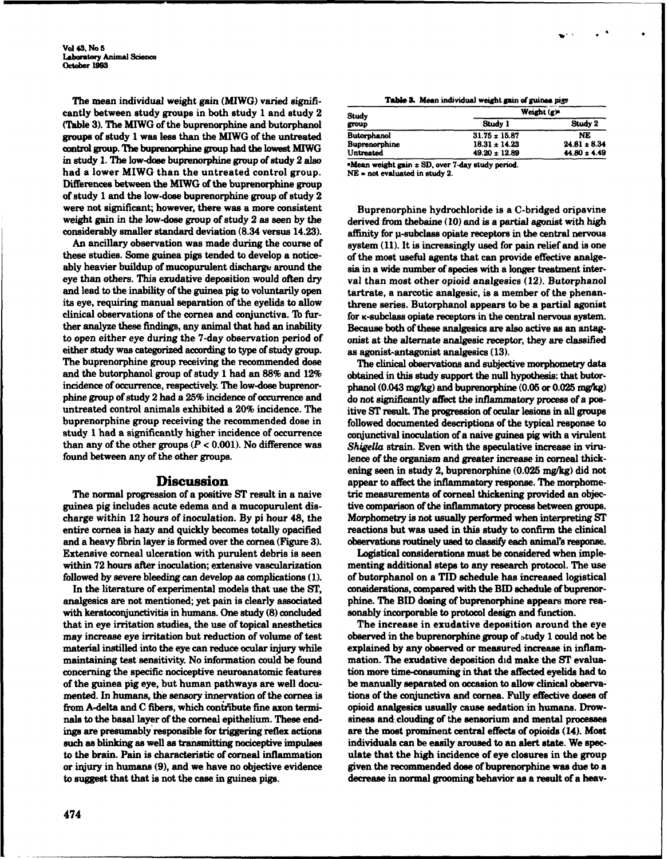The mean individual weight gain (MIWG) varied signifi- **Table .** Mean **indivdual** weight **gain ftguinea pip** cantly between study groups in both study 1 and study 2 (Table 3). The MIWG of the buprenorphine and butorphanol groups of study 1 was less than the MIWG of the untreated control group. The buprenorphine group had the lowest MIWG in study 1. The low-dose buprenorphine group of study 2 also study a study  $\frac{1}{\sqrt{1-\frac{1}{n}}}\sqrt{\frac{1}{n}}$  sMean weight gain  $\pm$  SD, over 7-day study period. had a lower MIWG than the untreated control group. NE **-** not evaluated in study 2. Differences between the MIWG of the buprenorphine group of study 1 and the low-dose buprenorphine group of study 2 were not significant; however, there was a more consistent Buprenorphine hydrochloride is a C-bridged oripavine weight gain in the low-dose group of study 2 as seen by the derived from thebaine (10) and is a partial agonist with high<br>considerably smaller standard deviation (8.34 versus 14.23). The efficity for u-subcless oniste rece

these studies. Some guinea pigs tended to develop a notice-<br>ably heavier buildup of mucopurulent discharge around the sia in a wide number of species with a longer treatment intereye than others. This exudative deposition would often dry val than most other opioid analgesics (12). Butorphanol<br>and lead to the inability of the guinea pig to voluntarily open tartrate a narcotic analgesic is a member o its eye, requiring manual separation of the eyelids to allow threne series. Butorphanol appears to be a partial agonist clinical observations of the cornea and conjunctiva. **Tb** fur- for K-subclass opiate receptors in the central nervous system. ther analyze these findings, any animal that had an inability Because both of these analgesics are also active as an antagto open either eye during the 7-day observation period of onist at the alternate analgesic receptor, they are classified either study was categorized according to type of study group. as agonist-antagonist analgesics (13). The buprenorphine group receiving the recommended dose The clinical observations and subjective morphometry data and the butorphanol group of study **I** had an 88% and 12% obtained in this study support the null hypothesis: that butorincidence of occurrence, respectively. The low-dose buprenor- phanol (0.043 mg/kg) and buprenorphine (0.05 or 0.025 mg/kg) phine group of study 2 had a 25% incidence of occurrence and do not significantly affect the inflammatory process of a posuntreated control animals exhibited a 20% incidence. The itive ST result. The progression of ocular lesions in all groups buprenorphine group receiving the recommended dose in followed documented descriptions of the typical response to study 1 had a significantly higher incidence of occurrence conjunctival inoculation of a naive guinea pig with a virulent than any of the other groups  $(P < 0.001)$ . No difference was Shigella strain. Even with the speculative increase in viru-<br>found between any of the other groups.<br>lence of the organism and greater increase in corneal thick-

guinea pig includes acute edema and a mucopurulent dis- tive comparison of the inflammatory process between groups. charge within 12 hours of inoculation. By pi hour 48, the Morphometry is not usually performed when interpreting ST entire cornea is hazy and quickly becomes totally opacified reactions but was used in this study to confirm the clinical and a heavy fibrin layer is formed over the cornea (Figure 3). observations routinely used to classify each animal's response. Extensive corneal ulceration with purulent debris is seen Logistical considerations must be considered when implewithin 72 hours after inoculation; extensive vascularization menting additional steps to any research protocol. The use followed by severe bleeding can develop as complications (1). of butorphanol on a TID schedule has increased logistical

analgesics are not mentioned; yet pain is clearly associated phine. The BID dosing of buprenorphine appears more reawith keratoconjunctivitis in humans. One study (8) concluded sonably incorporable to protocol design and function. that in eye irritation studies, the use of topical anesthetics The increase in exudative deposition around the eye may increase eye irritation but reduction of volume of test observed in the buprenorphine group of btudy **1** could not be material instilled into the eye can reduce ocular injury while explained by any observed or measured increase in inflammaintaining test sensitivity. No information could be found mation. The exudative deposition did make the ST evaluaconcerning the specific nociceptive neuroanatomic features tion more time-consuming in that the affected eyelids had to of the guinea pig eye, but human pathways are well docu- be manually separated on occasion to allow clinical observamented. In humans, the sensory innervation of the cornea is tions of the conjunctiva and cornea. Fully effective doses of from A-delta and C fibers, which contfibute fine axon termi- opioid analgesics usually cause sedation in humans. Drownals to the basal layer of the corneal epithelium. These end- siness and clouding of the sensorium and mental processes ings are presumably responsible for triggering reflex actions are the most prominent central effects of opioids (14). Most such as blinking as well as transmitting nociceptive impulses individuals can be easily aroused to an alert state. We specto the brain. Pain is characteristic of corneal inflammation ulate that the high incidence of eye closures in the group or injury in humans (9), and we have no objective evidence given the recommended dose of buprenorphine was due to a to suggest that that is not the case in guinea pigs. decrease in normal grooming behavior as a result of a heav-

| Weight $(g)$      |                  |
|-------------------|------------------|
| Study 1           | Study 2          |
| $31.75 \pm 15.87$ | NE               |
| $18.31 \pm 14.23$ | $24.81 \pm 8.34$ |
| $49.20 \pm 12.89$ | $44.80 \pm 4.49$ |
|                   |                  |

affinity for u-subclass opiate receptors in the central nervous An ancillary observation was made during the course of system  $(11)$ . It is increasingly used for pain relief and is one sia in a wide number of species with a longer treatment intertartrate, a narcotic analgesic, is a member of the phenan-

lence of the organism and greater increase in corneal thickening seen in study 2, buprenorphine (0.025 mg/kg) did not Discussion appear to affect the inflammatory response. The morphome-<br>The normal progression of a positive ST result in a naive tric measurements of corneal thickening provided an objectric measurements of corneal thickening provided an objec-

In the literature of experimental models that use the ST, considerations, compared with the BID schedule of buprenor-